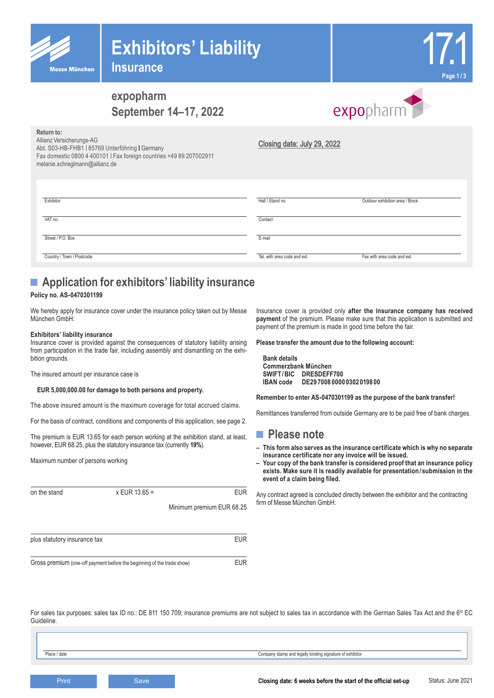| <b>Messe München</b> |
|----------------------|

**Return to:**

# **Exhibitors' Liability**

**Insurance**



# **expopharm September 14–17, 2022**



| REIGHT LO.<br>Allianz Versicherungs-AG<br>Abt. S03-HB-FHB1   85769 Unterföhring   Germany<br>Fax domestic 0800 4 400101   Fax foreign countries +49 89 207002911<br>melanie.schreglmann@allianz.de | Closing date: July 29, 2022  |                                 |
|----------------------------------------------------------------------------------------------------------------------------------------------------------------------------------------------------|------------------------------|---------------------------------|
| Exhibitor                                                                                                                                                                                          | Hall / Stand no.             | Outdoor exhibition area / Block |
| VAT no.                                                                                                                                                                                            | Contact                      |                                 |
| Street / P.O. Box                                                                                                                                                                                  | E-mail                       |                                 |
| Country / Town / Postcode                                                                                                                                                                          | Tel, with area code and ext. | Fax with area code and ext.     |

# ■ **Application for exhibitors' liability insurance**

### **Policy no. AS-0470301199**

We hereby apply for insurance cover under the insurance policy taken out by Messe München GmbH:

#### **Exhibitors' liability insurance**

Insurance cover is provided against the consequences of statutory liability arising from participation in the trade fair, including assembly and dismantling on the exhibition grounds.

The insured amount per insurance case is

#### **EUR 5,000,000.00 for damage to both persons and property.**

The above insured amount is the maximum coverage for total accrued claims.

For the basis of contract, conditions and components of this application, see page 2.

The premium is EUR 13.65 for each person working at the exhibition stand, at least, however, EUR 68.25, plus the statutory insurance tax (currently **19%**).

Maximum number of persons working

| on the stand                 | $x$ EUR 13.65 = | <b>EUR</b>                |
|------------------------------|-----------------|---------------------------|
|                              |                 | Minimum premium EUR 68.25 |
| plus statutory insurance tax |                 | <b>EUR</b>                |
|                              |                 |                           |

Gross premium (one-off payment before the beginning of the trade show) EUR

Insurance cover is provided only **after the insurance company has received payment** of the premium. Please make sure that this application is submitted and payment of the premium is made in good time before the fair.

**Please transfer the amount due to the following account:**

**Bank details Commerzbank München SWIFT/BIC DRESDEFF700 IBAN code DE29 7008 0000 0302 0198 00**

**Remember to enter AS-0470301199 as the purpose of the bank transfer!**

Remittances transferred from outside Germany are to be paid free of bank charges.

### **■ Please note**

- **– This form also serves as the insurance certificate which is why no separate insurance certificate nor any invoice will be issued.**
- **– Your copy of the bank transfer is considered proof that an insurance policy exists. Make sure it is readily available for presentation / submission in the event of a claim being filed.**

Any contract agreed is concluded directly between the exhibitor and the contracting firm of Messe München GmbH.

For sales tax purposes: sales tax ID no.: DE 811 150 709; insurance premiums are not subject to sales tax in accordance with the German Sales Tax Act and the 6<sup>th</sup> EC **Guideline** 

Place / date Company stamp and legally binding signature of exhibitor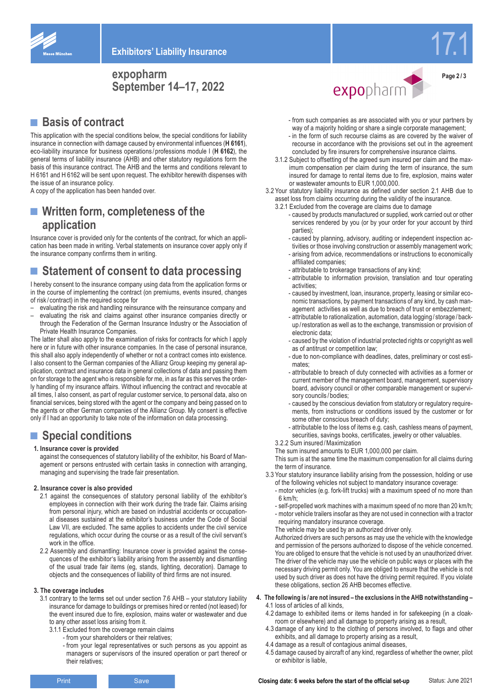

17.1

**Page 2 / 3**

### **expopharm September 14–17, 2022**

### ■ **Basis of contract**

This application with the special conditions below, the special conditions for liability insurance in connection with damage caused by environmental influences (**H 6161**), eco-liability insurance for business operations / professions module I (**H 6162**), the general terms of liability insurance (AHB) and other statutory regulations form the basis of this insurance contract. The AHB and the terms and conditions relevant to H 6161 and H 6162 will be sent upon request. The exhibitor herewith dispenses with the issue of an insurance policy.

A copy of the application has been handed over.

### ■ **Written form, completeness of the application**

Insurance cover is provided only for the contents of the contract, for which an application has been made in writing. Verbal statements on insurance cover apply only if the insurance company confirms them in writing.

# ■ **Statement of consent to data processing**

I hereby consent to the insurance company using data from the application forms or in the course of implementing the contract (on premiums, events insured, changes of risk / contract) in the required scope for

- evaluating the risk and handling reinsurance with the reinsurance company and
- evaluating the risk and claims against other insurance companies directly or through the Federation of the German Insurance Industry or the Association of Private Health Insurance Companies.

The latter shall also apply to the examination of risks for contracts for which I apply here or in future with other insurance companies. In the case of personal insurance, this shall also apply independently of whether or not a contract comes into existence. I also consent to the German companies of the Allianz Group keeping my general application, contract and insurance data in general collections of data and passing them on for storage to the agent who is responsible for me, in as far as this serves the orderly handling of my insurance affairs. Without influencing the contract and revocable at all times, I also consent, as part of regular customer service, to personal data, also on financial services, being stored with the agent or the company and being passed on to the agents or other German companies of the Allianz Group. My consent is effective only if I had an opportunity to take note of the information on data processing.

## ■ **Special conditions**

#### **1. Insurance cover is provided**

against the consequences of statutory liability of the exhibitor, his Board of Management or persons entrusted with certain tasks in connection with arranging, managing and supervising the trade fair presentation.

#### **2. Insurance cover is also provided**

- 2.1 against the consequences of statutory personal liability of the exhibitor's employees in connection with their work during the trade fair. Claims arising from personal injury, which are based on industrial accidents or occupational diseases sustained at the exhibitor's business under the Code of Social Law VII, are excluded. The same applies to accidents under the civil service regulations, which occur during the course or as a result of the civil servant's work in the office.
- 2.2 Assembly and dismantling: Insurance cover is provided against the consequences of the exhibitor's liability arising from the assembly and dismantling of the usual trade fair items (eg, stands, lighting, decoration). Damage to objects and the consequences of liability of third firms are not insured.

#### **3. The coverage includes**

- 3.1 contrary to the terms set out under section 7.6 AHB your statutory liability insurance for damage to buildings or premises hired or rented (not leased) for the event insured due to fire, explosion, mains water or wastewater and due to any other asset loss arising from it.
	- 3.1.1 Excluded from the coverage remain claims
		- from your shareholders or their relatives;
		- from your legal representatives or such persons as you appoint as managers or supervisors of the insured operation or part thereof or their relatives;



- from such companies as are associated with you or your partners by way of a majority holding or share a single corporate management;
- in the form of such recourse claims as are covered by the waiver of recourse in accordance with the provisions set out in the agreement concluded by fire insurers for comprehensive insurance claims.
- 3.1.2 Subject to offsetting of the agreed sum insured per claim and the maximum compensation per claim during the term of insurance, the sum insured for damage to rental items due to fire, explosion, mains water or wastewater amounts to EUR 1,000,000.
- 3.2 Your statutory liability insurance as defined under section 2.1 AHB due to asset loss from claims occurring during the validity of the insurance.
	- 3.2.1 Excluded from the coverage are claims due to damage
		- caused by products manufactured or supplied, work carried out or other services rendered by you (or by your order for your account by third parties);
		- caused by planning, advisory, auditing or independent inspection ac-
		- tivities or those involving construction or assembly management work; - arising from advice, recommendations or instructions to economically
		- affiliated companies; - attributable to brokerage transactions of any kind;
		- attributable to information provision, translation and tour operating activities;
		- caused by investment, loan, insurance, property, leasing or similar economic transactions, by payment transactions of any kind, by cash management activities as well as due to breach of trust or embezzlement;
		- attributable to rationalization, automation, data logging / storage / backup /restoration as well as to the exchange, transmission or provision of electronic data;
		- caused by the violation of industrial protected rights or copyright as well as of antitrust or competition law;
		- due to non-compliance with deadlines, dates, preliminary or cost estimates;
		- attributable to breach of duty connected with activities as a former or current member of the management board, management, supervisory board, advisory council or other comparable management or supervisory councils / bodies;
		- caused by the conscious deviation from statutory or regulatory requirements, from instructions or conditions issued by the customer or for some other conscious breach of duty;
		- attributable to the loss of items e.g. cash, cashless means of payment, securities, savings books, certificates, jewelry or other valuables.
	- 3.2.2 Sum insured /Maximization

The sum insured amounts to EUR 1,000,000 per claim.

This sum is at the same time the maximum compensation for all claims during the term of insurance.

- 3.3 Your statutory insurance liability arising from the possession, holding or use
	- of the following vehicles not subject to mandatory insurance coverage: - motor vehicles (e.g. fork-lift trucks) with a maximum speed of no more than 6 km/h;
	- self-propelled work machines with a maximum speed of no more than 20 km/h;
	- motor vehicle trailers insofar as they are not used in connection with a tractor requiring mandatory insurance coverage.
	- The vehicle may be used by an authorized driver only.

Authorized drivers are such persons as may use the vehicle with the knowledge and permission of the persons authorized to dispose of the vehicle concerned. You are obliged to ensure that the vehicle is not used by an unauthorized driver. The driver of the vehicle may use the vehicle on public ways or places with the necessary driving permit only. You are obliged to ensure that the vehicle is not used by such driver as does not have the driving permit required. If you violate these obligations, section 26 AHB becomes effective.

- **4. The following is / are not insured the exclusions in the AHB notwithstanding –** 4.1 loss of articles of all kinds,
	- 4.2 damage to exhibited items or items handed in for safekeeping (in a cloakroom or elsewhere) and all damage to property arising as a result,
	- 4.3 damage of any kind to the clothing of persons involved, to flags and other exhibits, and all damage to property arising as a result,
	- 4.4 damage as a result of contagious animal diseases,
	- 4.5 damage caused by aircraft of any kind, regardless of whether the owner, pilot or exhibitor is liable,